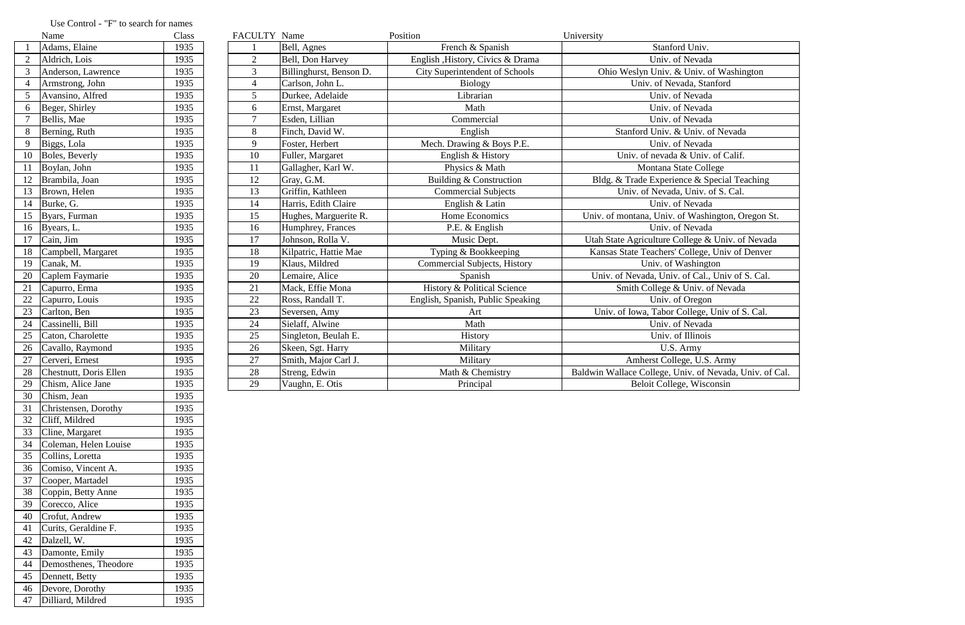|                 | Name                   | Class | FACULTY Name   |                         | Position                              | University                                              |
|-----------------|------------------------|-------|----------------|-------------------------|---------------------------------------|---------------------------------------------------------|
|                 | Adams, Elaine          | 1935  |                | Bell, Agnes             | French & Spanish                      | Stanford Univ.                                          |
|                 | Aldrich, Lois          | 1935  | $\overline{2}$ | Bell, Don Harvey        | English , History, Civics & Drama     | Univ. of Nevada                                         |
|                 | Anderson, Lawrence     | 1935  | $\mathfrak{Z}$ | Billinghurst, Benson D. | <b>City Superintendent of Schools</b> | Ohio Weslyn Univ. & Univ. of Washington                 |
|                 | Armstrong, John        | 1935  | $\overline{4}$ | Carlson, John L.        | Biology                               | Univ. of Nevada, Stanford                               |
| $\overline{5}$  | Avansino, Alfred       | 1935  | 5              | Durkee, Adelaide        | Librarian                             | Univ. of Nevada                                         |
| 6               | Beger, Shirley         | 1935  | 6              | Ernst, Margaret         | Math                                  | Univ. of Nevada                                         |
|                 | Bellis, Mae            | 1935  | $\tau$         | Esden, Lillian          | Commercial                            | Univ. of Nevada                                         |
| 8               | Berning, Ruth          | 1935  | 8              | Finch, David W.         | English                               | Stanford Univ. & Univ. of Nevada                        |
| 9               | Biggs, Lola            | 1935  | 9              | Foster, Herbert         | Mech. Drawing & Boys P.E.             | Univ. of Nevada                                         |
| 10              | Boles, Beverly         | 1935  | 10             | Fuller, Margaret        | English & History                     | Univ. of nevada & Univ. of Calif.                       |
| 11              | Boylan, John           | 1935  | 11             | Gallagher, Karl W.      | Physics & Math                        | Montana State College                                   |
| 12              | Brambila, Joan         | 1935  | 12             | Gray, G.M.              | Building & Construction               | Bldg. & Trade Experience & Special Teaching             |
| 13              | Brown, Helen           | 1935  | 13             | Griffin, Kathleen       | <b>Commercial Subjects</b>            | Univ. of Nevada, Univ. of S. Cal.                       |
| 14              | Burke, G.              | 1935  | 14             | Harris, Edith Claire    | English & Latin                       | Univ. of Nevada                                         |
| 15              | Byars, Furman          | 1935  | 15             | Hughes, Marguerite R.   | Home Economics                        | Univ. of montana, Univ. of Washington, Oregon St.       |
|                 | 16 Byears, L.          | 1935  | 16             | Humphrey, Frances       | P.E. & English                        | Univ. of Nevada                                         |
| 17              | Cain, Jim              | 1935  | 17             | Johnson, Rolla V.       | Music Dept.                           | Utah State Agriculture College & Univ. of Nevada        |
| 18              | Campbell, Margaret     | 1935  | 18             | Kilpatric, Hattie Mae   | Typing & Bookkeeping                  | Kansas State Teachers' College, Univ of Denver          |
| 19              | Canak, M.              | 1935  | 19             | Klaus, Mildred          | <b>Commercial Subjects, History</b>   | Univ. of Washington                                     |
| 20              | Caplem Faymarie        | 1935  | 20             | Lemaire, Alice          | Spanish                               | Univ. of Nevada, Univ. of Cal., Univ of S. Cal.         |
| 21              | Capurro, Erma          | 1935  | 21             | Mack, Effie Mona        | History & Political Science           | Smith College & Univ. of Nevada                         |
| 22              | Capurro, Louis         | 1935  | 22             | Ross, Randall T.        | English, Spanish, Public Speaking     | Univ. of Oregon                                         |
| 23              | Carlton, Ben           | 1935  | 23             | Seversen, Amy           | Art                                   | Univ. of Iowa, Tabor College, Univ of S. Cal.           |
| $\overline{24}$ | Cassinelli, Bill       | 1935  | 24             | Sielaff, Alwine         | Math                                  | Univ. of Nevada                                         |
| 25              | Caton, Charolette      | 1935  | 25             | Singleton, Beulah E.    | History                               | Univ. of Illinois                                       |
| 26              | Cavallo, Raymond       | 1935  | 26             | Skeen, Sgt. Harry       | Military                              | U.S. Army                                               |
| 27              | Cerveri, Ernest        | 1935  | 27             | Smith, Major Carl J.    | Military                              | Amherst College, U.S. Army                              |
| 28              | Chestnutt, Doris Ellen | 1935  | 28             | Streng, Edwin           | Math & Chemistry                      | Baldwin Wallace College, Univ. of Nevada, Univ. of Cal. |
| 29              | Chism, Alice Jane      | 1935  | 29             | Vaughn, E. Otis         | Principal                             | Beloit College, Wisconsin                               |
| 30              | Chism, Jean            | 1935  |                |                         |                                       |                                                         |
|                 |                        |       |                |                         |                                       |                                                         |

## Use Control - "F" to search for names<br>Name

|                | ivalile                | Ciass |
|----------------|------------------------|-------|
| $\mathbf{1}$   | Adams, Elaine          | 1935  |
| 2              | Aldrich, Lois          | 1935  |
| 3              | Anderson, Lawrence     | 1935  |
| 4              | Armstrong, John        | 1935  |
| 5              | Avansino, Alfred       | 1935  |
| 6              | Beger, Shirley         | 1935  |
| $\overline{7}$ | Bellis, Mae            | 1935  |
| 8              | Berning, Ruth          | 1935  |
| 9              | Biggs, Lola            | 1935  |
| 10             | Boles, Beverly         | 1935  |
| 11             | Boylan, John           | 1935  |
| 12             | Brambila, Joan         | 1935  |
| 13             | Brown, Helen           | 1935  |
| 14             | Burke, G.              | 1935  |
| 15             | Byars, Furman          | 1935  |
| 16             | Byears, L.             | 1935  |
| 17             | Cain, Jim              | 1935  |
| 18             | Campbell, Margaret     | 1935  |
| 19             | Canak, M.              | 1935  |
| 20             | Caplem Faymarie        | 1935  |
| 21             | Capurro, Erma          | 1935  |
| 22             | Capurro, Louis         | 1935  |
| 23             | Carlton, Ben           | 1935  |
| 24             | Cassinelli, Bill       | 1935  |
| 25             | Caton, Charolette      | 1935  |
| 26             | Cavallo, Raymond       | 1935  |
| 27             | Cerveri, Ernest        | 1935  |
| 28             | Chestnutt, Doris Ellen | 1935  |
| 29             | Chism, Alice Jane      | 1935  |
| 30             | Chism, Jean            | 1935  |
| 31             | Christensen, Dorothy   | 1935  |
| 32             | Cliff, Mildred         | 1935  |
| 33             | Cline, Margaret        | 1935  |
| 34             | Coleman, Helen Louise  | 1935  |
| 35             | Collins, Loretta       | 1935  |
| 36             | Comiso, Vincent A.     | 1935  |
| 37             | Cooper, Martadel       | 1935  |
| 38             | Coppin, Betty Anne     | 1935  |
| 39             | Corecco, Alice         | 1935  |
| 40             | Crofut, Andrew         | 1935  |
| 41             | Curits, Geraldine F.   | 1935  |
| 42             | Dalzell, W.            | 1935  |
| 43             | Damonte, Emily         | 1935  |
| 44             | Demosthenes, Theodore  | 1935  |
| 45             | Dennett, Betty         | 1935  |
| 46             | Devore, Dorothy        | 1935  |
| 47             | Dilliard, Mildred      | 1935  |
|                |                        |       |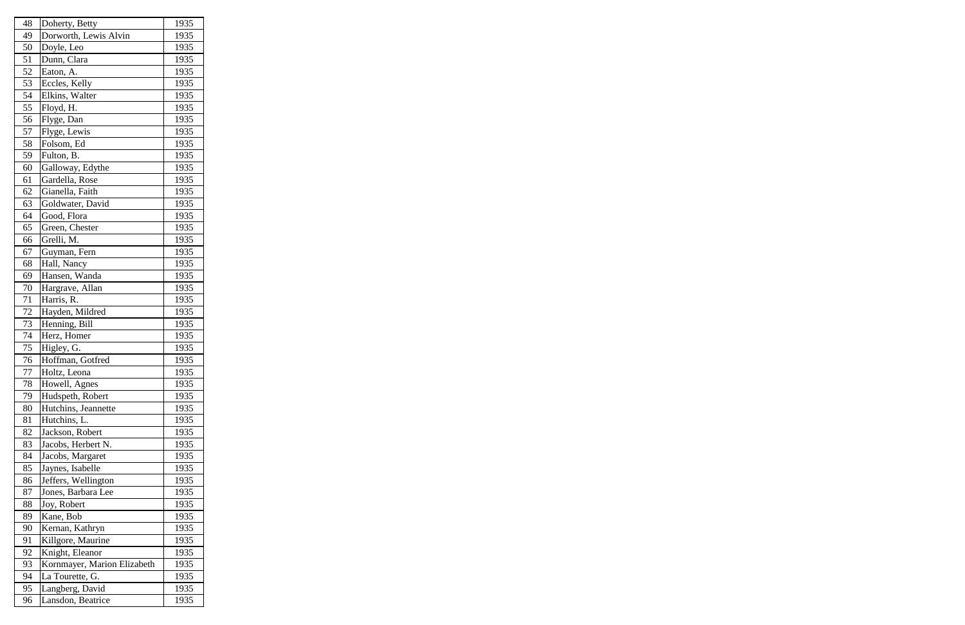| 48 | Doherty, Betty              | 1935 |
|----|-----------------------------|------|
| 49 | Dorworth, Lewis Alvin       | 1935 |
| 50 | Doyle, Leo                  | 1935 |
| 51 | Dunn, Clara                 | 1935 |
| 52 | Eaton, A.                   | 1935 |
| 53 | Eccles, Kelly               | 1935 |
| 54 | Elkins, Walter              | 1935 |
| 55 | Floyd, H.                   | 1935 |
| 56 | Flyge, Dan                  | 1935 |
| 57 | Flyge, Lewis                | 1935 |
| 58 | Folsom, Ed                  | 1935 |
| 59 | Fulton, B.                  | 1935 |
| 60 | Galloway, Edythe            | 1935 |
| 61 | Gardella, Rose              | 1935 |
| 62 | Gianella, Faith             | 1935 |
| 63 | Goldwater, David            | 1935 |
| 64 | Good, Flora                 | 1935 |
| 65 | Green, Chester              | 1935 |
| 66 | Grelli, M.                  | 1935 |
| 67 | Guyman, Fern                | 1935 |
| 68 | Hall, Nancy                 | 1935 |
| 69 | Hansen, Wanda               | 1935 |
| 70 | Hargrave, Allan             | 1935 |
| 71 | Harris, R.                  | 1935 |
| 72 | Hayden, Mildred             | 1935 |
| 73 | Henning, Bill               | 1935 |
| 74 | Herz, Homer                 | 1935 |
| 75 | Higley, G.                  | 1935 |
| 76 | Hoffman, Gotfred            | 1935 |
| 77 | Holtz, Leona                | 1935 |
| 78 | Howell, Agnes               | 1935 |
| 79 | Hudspeth, Robert            | 1935 |
| 80 | Hutchins, Jeannette         | 1935 |
| 81 | Hutchins, L.                | 1935 |
| 82 | Jackson, Robert             | 1935 |
| 83 | Jacobs, Herbert N.          | 1935 |
| 84 | Jacobs, Margaret            | 1935 |
| 85 | Jaynes, Isabelle            | 1935 |
| 86 | Jeffers, Wellington         | 1935 |
| 87 | Jones, Barbara Lee          | 1935 |
| 88 | Joy, Robert                 | 1935 |
| 89 | Kane, Bob                   | 1935 |
| 90 | Kernan, Kathryn             | 1935 |
| 91 | Killgore, Maurine           | 1935 |
| 92 | Knight, Eleanor             | 1935 |
| 93 | Kornmayer, Marion Elizabeth | 1935 |
| 94 | La Tourette, G.             | 1935 |
| 95 | Langberg, David             | 1935 |
| 96 | Lansdon, Beatrice           | 1935 |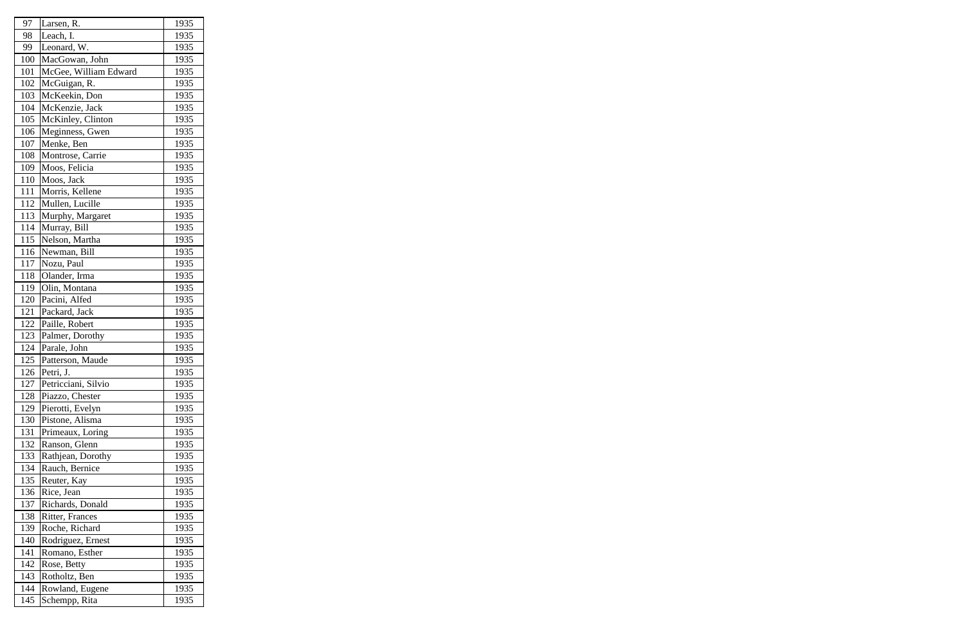| 97  | Larsen, R.            | 1935 |
|-----|-----------------------|------|
| 98  | Leach, I.             | 1935 |
| 99  | Leonard, W.           | 1935 |
| 100 | MacGowan, John        | 1935 |
| 101 | McGee, William Edward | 1935 |
| 102 | McGuigan, R.          | 1935 |
| 103 | McKeekin, Don         | 1935 |
| 104 | McKenzie, Jack        | 1935 |
| 105 | McKinley, Clinton     | 1935 |
| 106 | Meginness, Gwen       | 1935 |
| 107 | Menke, Ben            | 1935 |
| 108 | Montrose, Carrie      | 1935 |
| 109 | Moos, Felicia         | 1935 |
| 110 | Moos, Jack            | 1935 |
| 111 | Morris, Kellene       | 1935 |
| 112 | Mullen, Lucille       | 1935 |
| 113 | Murphy, Margaret      | 1935 |
| 114 | Murray, Bill          | 1935 |
| 115 | Nelson, Martha        | 1935 |
| 116 | Newman, Bill          | 1935 |
| 117 | Nozu, Paul            | 1935 |
| 118 | Olander, Irma         | 1935 |
| 119 | Olin, Montana         | 1935 |
| 120 | Pacini, Alfed         | 1935 |
| 121 | Packard, Jack         | 1935 |
| 122 | Paille, Robert        | 1935 |
| 123 | Palmer, Dorothy       | 1935 |
| 124 | Parale, John          | 1935 |
| 125 | Patterson, Maude      | 1935 |
| 126 | Petri, J.             | 1935 |
| 127 | Petricciani, Silvio   | 1935 |
| 128 | Piazzo, Chester       | 1935 |
| 129 | Pierotti, Evelyn      | 1935 |
| 130 | Pistone, Alisma       | 1935 |
| 131 | Primeaux, Loring      | 1935 |
| 132 | Ranson, Glenn         | 1935 |
| 133 | Rathjean, Dorothy     | 1935 |
| 134 | Rauch, Bernice        | 1935 |
| 135 | Reuter, Kay           | 1935 |
| 136 | Rice, Jean            | 1935 |
| 137 | Richards, Donald      | 1935 |
| 138 | Ritter, Frances       | 1935 |
| 139 | Roche, Richard        | 1935 |
| 140 | Rodriguez, Ernest     | 1935 |
| 141 | Romano, Esther        | 1935 |
| 142 | Rose, Betty           | 1935 |
| 143 | Rotholtz, Ben         | 1935 |
| 144 | Rowland, Eugene       | 1935 |
| 145 | Schempp, Rita         | 1935 |
|     |                       |      |